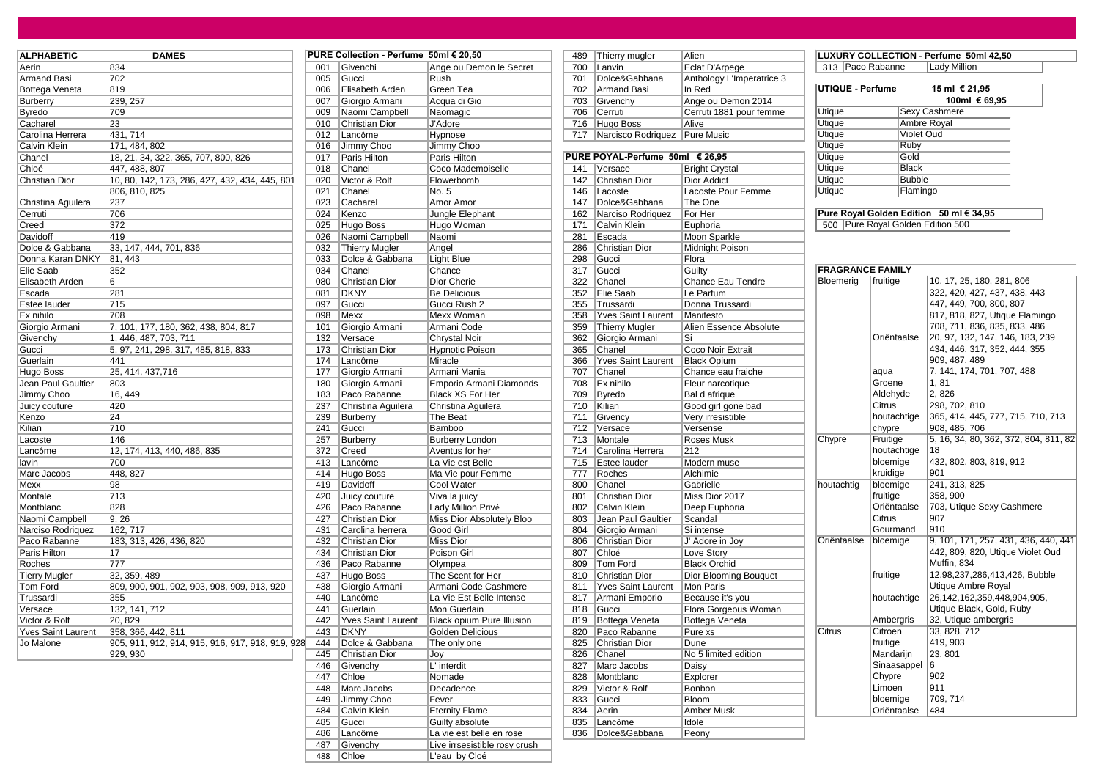| <b>ALPHABETIC</b>         | <b>DAMES</b>                                     |     | PURE Collection - Perfume 50ml € 20,50 |                           |     | 489 Thierry mugler              | Alien                     |                         |                                   | LUXURY COLLECTION - Perfume 50ml 42,50  |
|---------------------------|--------------------------------------------------|-----|----------------------------------------|---------------------------|-----|---------------------------------|---------------------------|-------------------------|-----------------------------------|-----------------------------------------|
| Aerin                     | 834                                              | 001 | Givenchi                               | Ange ou Demon le Secret   | 700 | Lanvin                          | Eclat D'Arpege            | 313 Paco Rabanne        |                                   | Lady Million                            |
| <b>Armand Basi</b>        | 702                                              | 005 | Gucci                                  | Rush                      | 701 | Dolce&Gabbana                   | Anthology L'Imperatrice 3 |                         |                                   |                                         |
| Bottega Veneta            | 819                                              | 006 | Elisabeth Arden                        | Green Tea                 | 702 | Armand Basi                     | In Red                    | <b>UTIQUE - Perfume</b> |                                   | 15 ml € 21,95                           |
| Burberry                  | 239, 257                                         | 007 | Giorgio Armani                         | Acqua di Gio              | 703 | Givenchy                        | Ange ou Demon 2014        |                         |                                   | 100ml € 69,95                           |
| <b>Byredo</b>             | 709                                              | 009 | Naomi Campbell                         | Naomagic                  | 706 | Cerruti                         | Cerruti 1881 pour femme   | Utique                  |                                   | <b>Sexy Cashmere</b>                    |
| Cacharel                  | 23                                               | 010 | <b>Christian Dior</b>                  | <b>J'Adore</b>            | 716 | Hugo Boss                       | Alive                     | Utique                  |                                   | Ambre Royal                             |
| Carolina Herrera          | 431, 714                                         | 012 | Lancôme                                | Hypnose                   | 717 | Narcisco Rodriquez Pure Music   |                           | Utique                  | Violet Oud                        |                                         |
| Calvin Klein              | 171, 484, 802                                    | 016 | Jimmy Choo                             | Jimmy Choo                |     |                                 |                           | <b>Utique</b>           | Ruby                              |                                         |
| Chanel                    | 18, 21, 34, 322, 365, 707, 800, 826              | 017 | Paris Hilton                           | Paris Hilton              |     | PURE POYAL-Perfume 50ml € 26,95 |                           | <b>Utique</b>           | Gold                              |                                         |
| Chloé                     | 447, 488, 807                                    | 018 | Chanel                                 | Coco Mademoiselle         |     | 141 Versace                     | <b>Bright Crystal</b>     | <b>Utique</b>           | Black                             |                                         |
| <b>Christian Dior</b>     | 10, 80, 142, 173, 286, 427, 432, 434, 445, 801   | 020 | Victor & Rolf                          | Flowerbomb                | 142 | <b>Christian Dior</b>           | <b>Dior Addict</b>        | <b>Utique</b>           | <b>Bubble</b>                     |                                         |
|                           | 806, 810, 825                                    | 021 | Chanel                                 | No. 5                     | 146 | Lacoste                         | Lacoste Pour Femme        | Utique                  | Flamingo                          |                                         |
| Christina Aguilera        | 237                                              | 023 | Cacharel                               | Amor Amor                 | 147 | Dolce&Gabbana                   | The One                   |                         |                                   |                                         |
| Cerruti                   | 706                                              | 024 | Kenzo                                  | Jungle Elephant           | 162 | Narciso Rodriquez               | For Her                   |                         |                                   | Pure Royal Golden Edition 50 ml € 34,95 |
| Creed                     | 372                                              | 025 | Hugo Boss                              | Hugo Woman                | 171 | Calvin Klein                    | Euphoria                  |                         | 500 Pure Royal Golden Edition 500 |                                         |
| Davidoff                  | 419                                              | 026 | Naomi Campbell                         | Naomi                     | 281 | Escada                          | Moon Sparkle              |                         |                                   |                                         |
| Dolce & Gabbana           | 33, 147, 444, 701, 836                           | 032 | <b>Thierry Mugler</b>                  | Angel                     | 286 | Christian Dior                  | Midnight Poison           |                         |                                   |                                         |
| Donna Karan DNKY          | 81, 443                                          | 033 | Dolce & Gabbana                        | Light Blue                | 298 | Gucci                           | Flora                     |                         |                                   |                                         |
| Elie Saab                 | 352                                              | 034 | Chanel                                 | Chance                    | 317 | Gucci                           | Guilty                    | <b>FRAGRANCE FAMILY</b> |                                   |                                         |
| Elisabeth Arden           | 6                                                | 080 | <b>Christian Dior</b>                  | Dior Cherie               | 322 | Chanel                          | Chance Eau Tendre         | Bloemerig               | fruitige                          | 10, 17, 25, 180, 281                    |
| Escada                    | 281                                              | 081 | <b>DKNY</b>                            | Be Delicious              | 352 | Elie Saab                       | Le Parfum                 |                         |                                   | 322, 420, 427, 437,                     |
| Estee lauder              | 715                                              | 097 | Gucci                                  | Gucci Rush 2              | 355 | Trussardi                       | Donna Trussardi           |                         |                                   | 447, 449, 700, 800,                     |
| Ex nihilo                 | 708                                              | 098 | Mexx                                   | Mexx Woman                | 358 | <b>Yves Saint Laurent</b>       | Manifesto                 |                         |                                   | 817, 818, 827, Utiqu                    |
| Giorgio Armani            | 7, 101, 177, 180, 362, 438, 804, 817             | 101 | Giorgio Armani                         | Armani Code               | 359 | Thierry Mugler                  | Alien Essence Absolute    |                         |                                   | 708, 711, 836, 835,                     |
| Givenchy                  | 1, 446, 487, 703, 711                            | 132 | Versace                                | <b>Chrystal Noir</b>      | 362 | Giorgio Armani                  | Si                        |                         | Oriëntaalse                       | 20, 97, 132, 147, 14                    |
|                           |                                                  | 173 | <b>Christian Dior</b>                  |                           | 365 | Chanel                          | Coco Noir Extrait         |                         |                                   | 434, 446, 317, 352,                     |
| Gucci                     | 5, 97, 241, 298, 317, 485, 818, 833<br>441       | 174 |                                        | <b>Hypnotic Poison</b>    | 366 |                                 | <b>Black Opium</b>        |                         |                                   | 909, 487, 489                           |
| Guerlain                  |                                                  |     | Lancôme                                | Miracle                   |     | Yves Saint Laurent              |                           |                         |                                   |                                         |
| Hugo Boss                 | 25, 414, 437, 716                                | 177 | Giorgio Armani                         | Armani Mania              | 707 | Chanel                          | Chance eau fraiche        |                         | aqua                              | 7, 141, 174, 701, 70                    |
| Jean Paul Gaultier        | 803                                              | 180 | Giorgio Armani                         | Emporio Armani Diamonds   | 708 | Ex nihilo                       | Fleur narcotique          |                         | Groene                            | 1, 81                                   |
| Jimmy Choo                | 16, 449                                          | 183 | Paco Rabanne                           | <b>Black XS For Her</b>   | 709 | Byredo                          | Bal d afrique             |                         | Aldehyde                          | 2, 826                                  |
| Juicy couture             | 420                                              | 237 | Christina Aguilera                     | Christina Aguilera        | 710 | Kilian                          | Good girl gone bad        |                         | Citrus                            | 298, 702, 810                           |
| Kenzo                     | 24                                               | 239 | Burberry                               | The Beat                  | 711 | Givency                         | Very irresistible         |                         | houtachtige                       | 365, 414, 445, 777,                     |
| Kilian                    | 710                                              | 241 | Gucci                                  | Bamboo                    | 712 | Versace                         | Versense                  |                         | chypre                            | 908, 485, 706                           |
| Lacoste                   | 146                                              | 257 | Burberry                               | <b>Burberry London</b>    | 713 | Montale                         | Roses Musk                | Chypre                  | Fruitige                          | 5, 16, 34, 80, 362, 3                   |
| Lancôme                   | 12, 174, 413, 440, 486, 835                      | 372 | Creed                                  | Aventus for her           | 714 | Carolina Herrera                | 212                       |                         | houtachtige                       | 18                                      |
| lavin                     | 700                                              | 413 | Lancôme                                | La Vie est Belle          | 715 | Estee lauder                    | Modern muse               |                         | bloemige                          | 432, 802, 803, 819,                     |
| Marc Jacobs               | 448, 827                                         | 414 | Hugo Boss                              | Ma Vie pour Femme         | 777 | Roches                          | Alchimie                  |                         | kruidige                          | 901                                     |
| Mexx                      | 98                                               | 419 | Davidoff                               | Cool Water                | 800 | Chanel                          | Gabrielle                 | houtachtig              | bloemige                          | 241, 313, 825                           |
| Montale                   | 713                                              | 420 | Juicy couture                          | Viva la juicy             | 801 | Christian Dior                  | Miss Dior 2017            |                         | fruitige                          | 358, 900                                |
| Montblanc                 | 828                                              | 426 | Paco Rabanne                           | Lady Million Privé        | 802 | Calvin Klein                    | Deep Euphoria             |                         | Oriëntaalse                       | 703, Utique Sexy Ca                     |
| Naomi Campbell            | 9.26                                             | 427 | <b>Christian Dior</b>                  | Miss Dior Absolutely Bloo | 803 | Jean Paul Gaultier              | Scandal                   |                         | Citrus                            | 907                                     |
| Narciso Rodriguez         | 162.717                                          | 431 | Carolina herrera                       | Good Girl                 | 804 | Giorgio Armani                  | Si intense                |                         | Gourmand                          | 910                                     |
| Paco Rabanne              | 183, 313, 426, 436, 820                          | 432 | Christian Dior                         | Miss Dior                 | 806 | Christian Dior                  | J' Adore in Joy           | Oriëntaalse             | bloemige                          | 9, 101, 171, 257, 43                    |
| Paris Hilton              | 17                                               | 434 | Christian Dior                         | Poison Girl               | 807 | Chloé                           | Love Story                |                         |                                   | 442, 809, 820, Utiqu                    |
| Roches                    | 777                                              | 436 | Paco Rabanne                           | Olympea                   | 809 | Tom Ford                        | <b>Black Orchid</b>       |                         |                                   | Muffin, 834                             |
| <b>Tierry Mugler</b>      | 32, 359, 489                                     | 437 | Hugo Boss                              | The Scent for Her         | 810 | <b>Christian Dior</b>           | Dior Blooming Bouquet     |                         | fruitige                          | 12,98,237,286,413,4                     |
| <b>Tom Ford</b>           | 809, 900, 901, 902, 903, 908, 909, 913, 920      | 438 | Giorgio Armani                         | Armani Code Cashmere      | 811 | <b>Yves Saint Laurent</b>       | Mon Paris                 |                         |                                   | <b>Utique Ambre Royal</b>               |
| Trussardi                 | 355                                              | 440 | Lancôme                                | La Vie Est Belle Intense  | 817 | Armani Emporio                  | Because it's you          |                         | houtachtige                       | 26, 142, 162, 359, 448                  |
| Versace                   | 132, 141, 712                                    | 441 | Guerlain                               | Mon Guerlain              |     | 818 Gucci                       | Flora Gorgeous Woman      |                         |                                   | Utique Black, Gold,                     |
| Victor & Rolf             | 20, 829                                          | 442 | <b>Yves Saint Laurent</b>              | Black opium Pure Illusion | 819 | Bottega Veneta                  | Bottega Veneta            |                         | Ambergris                         | 32, Utique ambergris                    |
| <b>Yves Saint Laurent</b> | 358, 366, 442, 811                               | 443 | <b>DKNY</b>                            | <b>Golden Delicious</b>   | 820 | Paco Rabanne                    | Pure xs                   | Citrus                  | Citroen                           | 33, 828, 712                            |
| Jo Malone                 | 905, 911, 912, 914, 915, 916, 917, 918, 919, 928 | 444 | Dolce & Gabbana                        | The only one              | 825 | Christian Dior                  | Dune                      |                         | fruitige                          | 419, 903                                |
|                           | 929, 930                                         | 445 | <b>Christian Dior</b>                  | Joy                       | 826 | Chanel                          | No 5 limited edition      |                         | Mandarijn                         | 23, 801                                 |
|                           |                                                  | 446 | Givenchy                               | L' interdit               | 827 | Marc Jacobs                     | Daisy                     |                         | Sinaasappel                       | 16                                      |
|                           |                                                  | 447 | Chloe                                  | Nomade                    | 828 | Montblanc                       | Explorer                  |                         | Chypre                            | 902                                     |
|                           |                                                  |     | Marc Jacobs                            | Decadence                 | 829 | Victor & Rolf                   | Bonbon                    |                         | Limoen                            | 911                                     |
|                           |                                                  | 448 |                                        |                           |     |                                 |                           |                         |                                   |                                         |

|     | PURE Collection - Perfume 50ml € 20,50 |                               | 489 | Thierry mugler                  | Alien                |
|-----|----------------------------------------|-------------------------------|-----|---------------------------------|----------------------|
| 001 | Givenchi                               | Ange ou Demon le Secret       | 700 | Lanvin                          | Eclat D'Arpe         |
| 005 | Gucci                                  | Rush                          | 701 | Dolce&Gabbana                   | Anthology L'         |
| 006 | Elisabeth Arden                        | Green Tea                     | 702 | Armand Basi                     | In Red               |
| 007 | Giorgio Armani                         | Acqua di Gio                  | 703 | Givenchy                        | Ange ou Der          |
| 009 | Naomi Campbell                         | Naomagic                      | 706 | Cerruti                         | Cerruti 1881         |
| 010 | Christian Dior                         | J'Adore                       | 716 | Hugo Boss                       | Alive                |
| 012 | Lancôme                                | Hypnose                       | 717 | Narcisco Rodriquez              | Pure Music           |
| 016 | Jimmy Choo                             | Jimmy Choo                    |     |                                 |                      |
| 017 | Paris Hilton                           | Paris Hilton                  |     | PURE POYAL-Perfume 50ml € 26,95 |                      |
| 018 | Chanel                                 | Coco Mademoiselle             | 141 | Versace                         | <b>Bright Crysta</b> |
| 020 | Victor & Rolf                          | Flowerbomb                    | 142 | <b>Christian Dior</b>           | Dior Addict          |
| 021 | Chanel                                 | No. 5                         | 146 | Lacoste                         | Lacoste Pou          |
| 023 | Cacharel                               | Amor Amor                     | 147 | Dolce&Gabbana                   | The One              |
| 024 | Kenzo                                  | Jungle Elephant               | 162 | Narciso Rodriquez               | For Her              |
| 025 | Hugo Boss                              | Hugo Woman                    | 171 | Calvin Klein                    | Euphoria             |
| 026 | Naomi Campbell                         | Naomi                         | 281 | Escada                          | Moon Sparkl          |
| 032 | <b>Thierry Mugler</b>                  | Angel                         | 286 | <b>Christian Dior</b>           | Midnight Poi         |
| 033 | Dolce & Gabbana                        | Light Blue                    | 298 | Gucci                           | Flora                |
| 034 | Chanel                                 | Chance                        | 317 | Gucci                           | Guilty               |
| 080 | Christian Dior                         | Dior Cherie                   | 322 | Chanel                          | Chance Eau           |
| 081 | <b>DKNY</b>                            | <b>Be Delicious</b>           | 352 | Elie Saab                       | Le Parfum            |
| 097 | Gucci                                  | Gucci Rush 2                  | 355 | Trussardi                       | Donna Truss          |
| 098 | Mexx                                   | Mexx Woman                    | 358 | <b>Yves Saint Laurent</b>       | Manifesto            |
| 101 | Giorgio Armani                         | Armani Code                   | 359 | <b>Thierry Mugler</b>           | Alien Essend         |
| 132 | Versace                                | Chrystal Noir                 | 362 | Giorgio Armani                  | Si                   |
| 173 | Christian Dior                         | <b>Hypnotic Poison</b>        | 365 | Chanel                          | Coco Noir E:         |
| 174 | Lancôme                                | Miracle                       | 366 | <b>Yves Saint Laurent</b>       | <b>Black Opium</b>   |
| 177 | Giorgio Armani                         | Armani Mania                  | 707 | Chanel                          | Chance eau           |
| 180 | Giorgio Armani                         | Emporio Armani Diamonds       | 708 | Ex nihilo                       | Fleur narcoti        |
| 183 | Paco Rabanne                           | Black XS For Her              | 709 | <b>Byredo</b>                   | Bal d afrique        |
| 237 | Christina Aquilera                     | Christina Aguilera            | 710 | Kilian                          | Good girl go         |
| 239 | Burberry                               | The Beat                      | 711 | Givency                         | Very irresisti       |
| 241 | Gucci                                  | Bamboo                        | 712 | Versace                         | Versense             |
| 257 | <b>Burberry</b>                        | <b>Burberry London</b>        | 713 | Montale                         | Roses Musk           |
| 372 | Creed                                  | Aventus for her               | 714 | Carolina Herrera                | 212                  |
| 413 | Lancôme                                | La Vie est Belle              | 715 | Estee lauder                    | Modern mus           |
| 414 | Hugo Boss                              | Ma Vie pour Femme             | 777 | Roches                          | Alchimie             |
| 419 | Davidoff                               | Cool Water                    | 800 | Chanel                          | Gabrielle            |
| 420 | Juicy couture                          | Viva la juicy                 | 801 | <b>Christian Dior</b>           | Miss Dior 20         |
| 426 | Paco Rabanne                           | Lady Million Privé            | 802 | Calvin Klein                    | Deep Eupho           |
| 427 | <b>Christian Dior</b>                  | Miss Dior Absolutely Bloo     | 803 | Jean Paul Gaultier              | Scandal              |
| 431 | Carolina herrera                       | Good Girl                     | 804 | Giorgio Armani                  | Si intense           |
| 432 | <b>Christian Dior</b>                  | Miss Dior                     | 806 | <b>Christian Dior</b>           | J' Adore in J        |
| 434 | <b>Christian Dior</b>                  | Poison Girl                   | 807 | Chloé                           | Love Story           |
| 436 | Paco Rabanne                           | Olympea                       | 809 | <b>Tom Ford</b>                 | <b>Black Orchic</b>  |
| 437 | Hugo Boss                              | The Scent for Her             | 810 | Christian Dior                  | Dior Bloomir         |
| 438 | Giorgio Armani                         | Armani Code Cashmere          | 811 | <b>Yves Saint Laurent</b>       | <b>Mon Paris</b>     |
| 440 | Lancôme                                | La Vie Est Belle Intense      | 817 | Armani Emporio                  | Because it's         |
| 441 | Guerlain                               | Mon Guerlain                  | 818 | Gucci                           | Flora Gorgeo         |
| 442 | <b>Yves Saint Laurent</b>              | Black opium Pure Illusion     | 819 | Bottega Veneta                  | Bottega Ven          |
| 443 | <b>DKNY</b>                            | Golden Delicious              | 820 | Paco Rabanne                    | Pure xs              |
| 444 | Dolce & Gabbana                        | The only one                  | 825 | Christian Dior                  | Dune                 |
| 445 | Christian Dior                         | Joy                           | 826 | Chanel                          | No 5 limited         |
| 446 | Givenchy                               | L' interdit                   | 827 | Marc Jacobs                     | Daisy                |
| 447 | Chloe                                  | Nomade                        | 828 | Montblanc                       | Explorer             |
| 448 | Marc Jacobs                            | Decadence                     | 829 | Victor & Rolf                   | Bonbon               |
| 449 | Jimmy Choo                             | Fever                         | 833 | Gucci                           | Bloom                |
| 484 | Calvin Klein                           | <b>Eternity Flame</b>         | 834 | Aerin                           | Amber Musk           |
| 485 | Gucci                                  | Guilty absolute               | 835 | Lancôme                         | Idole                |
| 486 | Lancôme                                | La vie est belle en rose      | 836 | Dolce&Gabbana                   | Peony                |
| 487 | Givenchy                               | Live irrsesistible rosy crush |     |                                 |                      |
| 488 | Chloe                                  | L'eau by Cloé                 |     |                                 |                      |
|     |                                        |                               |     |                                 |                      |

| 489        | Thierry mugler                  | Alien                     | LUXL          |
|------------|---------------------------------|---------------------------|---------------|
| 700        | Lanvin                          | Eclat D'Arpege            | 313           |
| 701        | Dolce&Gabbana                   | Anthology L'Imperatrice 3 | UTIQ          |
| 702        | <b>Armand Basi</b>              | In Red                    |               |
| 703        | Givenchy                        | Ange ou Demon 2014        |               |
| 706        | Cerruti                         | Cerruti 1881 pour femme   | <b>Utique</b> |
| 716        | Hugo Boss                       | Alive                     | Utique        |
| 717        | Narcisco Rodriquez              | <b>Pure Music</b>         | Utique        |
|            |                                 |                           | Utique        |
|            | PURE POYAL-Perfume 50ml € 26,95 |                           | Utique        |
| 141        | Versace                         | <b>Bright Crystal</b>     | <b>Utique</b> |
| 142        | <b>Christian Dior</b>           | <b>Dior Addict</b>        | Utique        |
| 146        | Lacoste                         | Lacoste Pour Femme        | Utique        |
| 147        | Dolce&Gabbana                   | The One                   |               |
| 162        | Narciso Rodriquez               | For Her                   | <b>Pure</b>   |
| 171        | Calvin Klein                    | Euphoria                  | 500           |
| 281        | Escada                          | Moon Sparkle              |               |
| 286        | <b>Christian Dior</b>           | Midnight Poison           |               |
| 298        | Gucci                           | Flora                     |               |
| 317        | Gucci                           | Guilty                    | <b>FRAC</b>   |
| 322        | Chanel                          | Chance Eau Tendre         | Bloen         |
| 352        | Elie Saab                       | Le Parfum                 |               |
| 355        | Trussardi                       | Donna Trussardi           |               |
| 358        | <b>Yves Saint Laurent</b>       | Manifesto                 |               |
| 359        | <b>Thierry Mugler</b>           | Alien Essence Absolute    |               |
| 362        | Giorgio Armani                  | Si                        |               |
| 365        | Chanel                          | Coco Noir Extrait         |               |
| 366        | <b>Yves Saint Laurent</b>       | <b>Black Opium</b>        |               |
| 707        | Chanel                          | Chance eau fraiche        |               |
| 708        | Ex nihilo                       | Fleur narcotique          |               |
| 709        | <b>Byredo</b>                   | Bal d afrique             |               |
| 710        | Kilian                          | Good girl gone bad        |               |
| 711        | Givency                         | Very irresistible         |               |
| 712        | Versace                         | Versense                  |               |
| 713        | Montale                         | Roses Musk                | Chypi         |
| 714        | Carolina Herrera                | 212                       |               |
| 715        | Estee lauder                    | Modern muse               |               |
| 777        | Roches                          | Alchimie                  |               |
| 800        | Chanel                          | Gabrielle                 | houta         |
| 801        | <b>Christian Dior</b>           | Miss Dior 2017            |               |
| 802        | Calvin Klein                    | Deep Euphoria             |               |
| 803        | Jean Paul Gaultier              | Scandal                   |               |
| 804        | Giorgio Armani                  | Si intense                |               |
| 806        | <b>Christian Dior</b>           | J' Adore in Joy           | Oriën         |
| 807        | Chloé                           | Love Story                |               |
| 809        | Tom Ford                        | <b>Black Orchid</b>       |               |
| 810        | <b>Christian Dior</b>           | Dior Blooming Bouquet     |               |
| 811        | <b>Yves Saint Laurent</b>       | Mon Paris                 |               |
| 817        | Armani Emporio                  | Because it's you          |               |
| 818        | Gucci                           | Flora Gorgeous Woman      |               |
| 819        | Bottega Veneta                  | Bottega Veneta            |               |
| 820        | Paco Rabanne                    | Pure xs                   | Citrus        |
| 825        | Christian Dior                  | Dune                      |               |
| 826        | Chanel                          | No 5 limited edition      |               |
| 827        | Marc Jacobs                     | Daisy                     |               |
| 828        | Montblanc                       | Explorer                  |               |
| 829        | Victor & Rolf                   | Bonbon                    |               |
| 833        | Gucci                           | Bloom                     |               |
| 834        | Aerin                           | Amber Musk                |               |
| 835<br>836 | Lancôme<br>Dolce & Cabbana      | Idole<br><b>Doony</b>     |               |
|            |                                 |                           |               |

| UTIQUE - Perfume | 15 ml € 21,95 |  |
|------------------|---------------|--|
|                  | 100ml € 69,95 |  |
| Utique           | Sexy Cashmere |  |
| Utique           | Ambre Royal   |  |
| Utique           | Violet Oud    |  |
| Utique           | Ruby          |  |
| Utique           | Gold          |  |
| Utique           | <b>Black</b>  |  |
| Utique           | <b>Bubble</b> |  |
| Utique           | Flamingo      |  |

| <b>FRAGRANCE FAMILY</b> |             |                                       |  |  |  |  |
|-------------------------|-------------|---------------------------------------|--|--|--|--|
| Bloemerig               | fruitige    | 10, 17, 25, 180, 281, 806             |  |  |  |  |
|                         |             | 322, 420, 427, 437, 438, 443          |  |  |  |  |
|                         |             | 447, 449, 700, 800, 807               |  |  |  |  |
|                         |             | 817, 818, 827, Utique Flamingo        |  |  |  |  |
|                         |             | 708, 711, 836, 835, 833, 486          |  |  |  |  |
|                         | Oriëntaalse | 20, 97, 132, 147, 146, 183, 239       |  |  |  |  |
|                         |             | 434, 446, 317, 352, 444, 355          |  |  |  |  |
|                         |             | 909, 487, 489                         |  |  |  |  |
|                         | aqua        | 7, 141, 174, 701, 707, 488            |  |  |  |  |
|                         | Groene      | 1,81                                  |  |  |  |  |
|                         | Aldehyde    | 2,826                                 |  |  |  |  |
|                         | Citrus      | 298, 702, 810                         |  |  |  |  |
|                         | houtachtige | 365, 414, 445, 777, 715, 710, 713     |  |  |  |  |
|                         | chypre      | 908, 485, 706                         |  |  |  |  |
| Chypre                  | Fruitige    | 5, 16, 34, 80, 362, 372, 804, 811, 82 |  |  |  |  |
|                         | houtachtige | 18                                    |  |  |  |  |
|                         | bloemige    | 432, 802, 803, 819, 912               |  |  |  |  |
|                         | kruidige    | 901                                   |  |  |  |  |
| houtachtig              | bloemige    | 241, 313, 825                         |  |  |  |  |
|                         | fruitige    | 358, 900                              |  |  |  |  |
|                         | Oriëntaalse | 703, Utique Sexy Cashmere             |  |  |  |  |
|                         | Citrus      | 907                                   |  |  |  |  |
|                         | Gourmand    | 910                                   |  |  |  |  |
| Oriëntaalse             | bloemige    | 9, 101, 171, 257, 431, 436, 440, 441  |  |  |  |  |
|                         |             | 442, 809, 820, Utique Violet Oud      |  |  |  |  |
|                         |             | Muffin. 834                           |  |  |  |  |
|                         | fruitige    | 12,98,237,286,413,426, Bubble         |  |  |  |  |
|                         |             | Utique Ambre Royal                    |  |  |  |  |
|                         | houtachtige | 26,142,162,359,448,904,905,           |  |  |  |  |
|                         |             | Utique Black, Gold, Ruby              |  |  |  |  |
|                         | Ambergris   | 32, Utique ambergris                  |  |  |  |  |
| Citrus                  | Citroen     | 33, 828, 712                          |  |  |  |  |
|                         | fruitige    | 419, 903                              |  |  |  |  |
|                         | Mandarijn   | 23, 801                               |  |  |  |  |
|                         | Sinaasappel | 6                                     |  |  |  |  |
|                         | Chypre      | 902                                   |  |  |  |  |
|                         | Limoen      | 911                                   |  |  |  |  |
|                         | bloemige    | 709, 714                              |  |  |  |  |
|                         | Oriëntaalse | 484                                   |  |  |  |  |